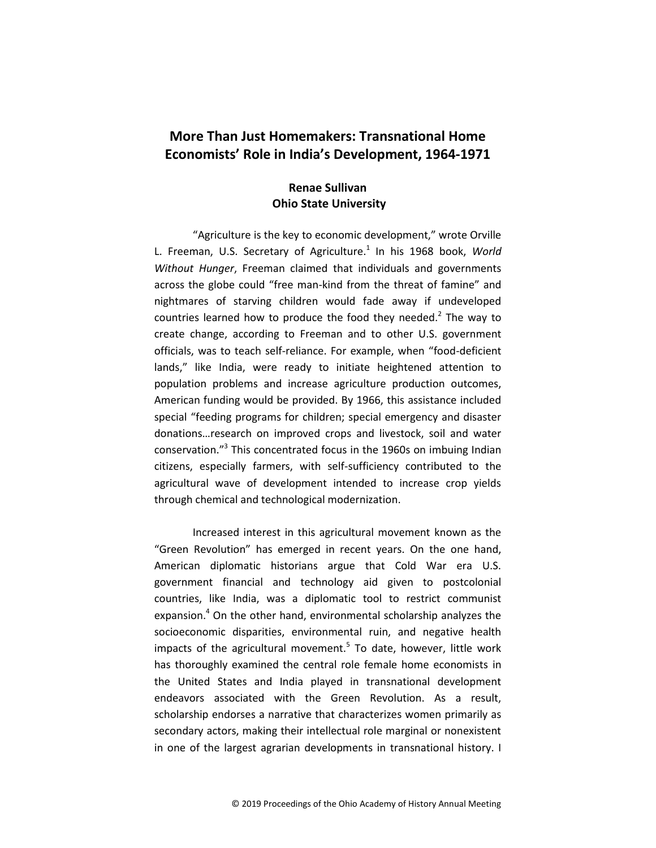# **More Than Just Homemakers: Transnational Home Economists' Role in India's Development, 1964-1971**

# **Renae Sullivan Ohio State University**

"Agriculture is the key to economic development," wrote Orville L. Freeman, U.S. Secretary of Agriculture.<sup>1</sup> In his 1968 book, World *Without Hunger*, Freeman claimed that individuals and governments across the globe could "free man-kind from the threat of famine" and nightmares of starving children would fade away if undeveloped countries learned how to produce the food they needed.<sup>2</sup> The way to create change, according to Freeman and to other U.S. government officials, was to teach self-reliance. For example, when "food-deficient lands," like India, were ready to initiate heightened attention to population problems and increase agriculture production outcomes, American funding would be provided. By 1966, this assistance included special "feeding programs for children; special emergency and disaster donations…research on improved crops and livestock, soil and water conservation."<sup>3</sup> This concentrated focus in the 1960s on imbuing Indian citizens, especially farmers, with self-sufficiency contributed to the agricultural wave of development intended to increase crop yields through chemical and technological modernization.

Increased interest in this agricultural movement known as the "Green Revolution" has emerged in recent years. On the one hand, American diplomatic historians argue that Cold War era U.S. government financial and technology aid given to postcolonial countries, like India, was a diplomatic tool to restrict communist expansion.<sup>4</sup> On the other hand, environmental scholarship analyzes the socioeconomic disparities, environmental ruin, and negative health impacts of the agricultural movement.<sup>5</sup> To date, however, little work has thoroughly examined the central role female home economists in the United States and India played in transnational development endeavors associated with the Green Revolution. As a result, scholarship endorses a narrative that characterizes women primarily as secondary actors, making their intellectual role marginal or nonexistent in one of the largest agrarian developments in transnational history. I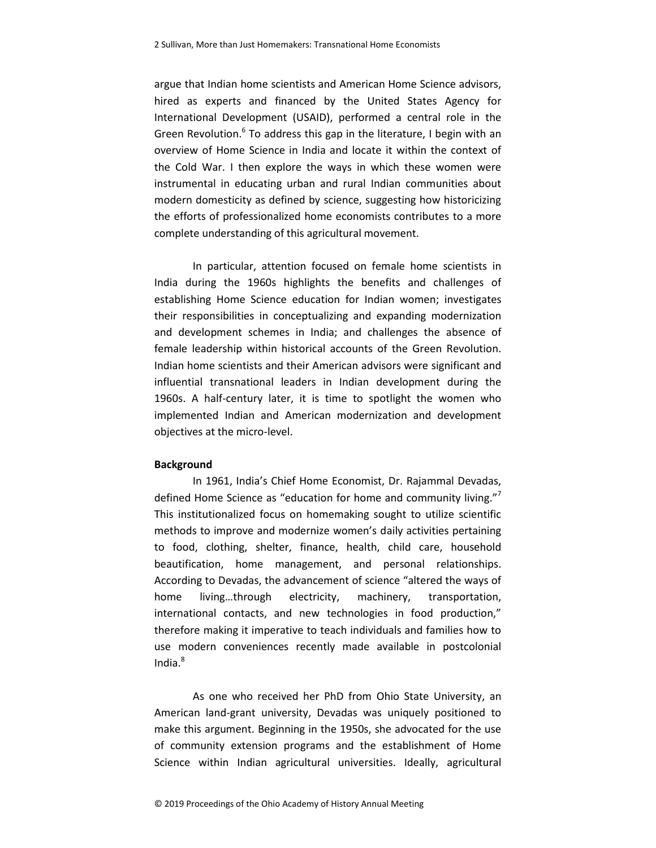argue that Indian home scientists and American Home Science advisors, hired as experts and financed by the United States Agency for International Development (USAID), performed a central role in the Green Revolution.<sup>6</sup> To address this gap in the literature, I begin with an overview of Home Science in India and locate it within the context of the Cold War. I then explore the ways in which these women were instrumental in educating urban and rural Indian communities about modern domesticity as defined by science, suggesting how historicizing the efforts of professionalized home economists contributes to a more complete understanding of this agricultural movement.

In particular, attention focused on female home scientists in India during the 1960s highlights the benefits and challenges of establishing Home Science education for Indian women; investigates their responsibilities in conceptualizing and expanding modernization and development schemes in India; and challenges the absence of female leadership within historical accounts of the Green Revolution. Indian home scientists and their American advisors were significant and influential transnational leaders in Indian development during the 1960s. A half-century later, it is time to spotlight the women who implemented Indian and American modernization and development objectives at the micro-level.

# **Background**

In 1961, India's Chief Home Economist, Dr. Rajammal Devadas, defined Home Science as "education for home and community living." This institutionalized focus on homemaking sought to utilize scientific methods to improve and modernize women's daily activities pertaining to food, clothing, shelter, finance, health, child care, household beautification, home management, and personal relationships. According to Devadas, the advancement of science "altered the ways of home living…through electricity, machinery, transportation, international contacts, and new technologies in food production," therefore making it imperative to teach individuals and families how to use modern conveniences recently made available in postcolonial India. $8$ 

As one who received her PhD from Ohio State University, an American land-grant university, Devadas was uniquely positioned to make this argument. Beginning in the 1950s, she advocated for the use of community extension programs and the establishment of Home Science within Indian agricultural universities. Ideally, agricultural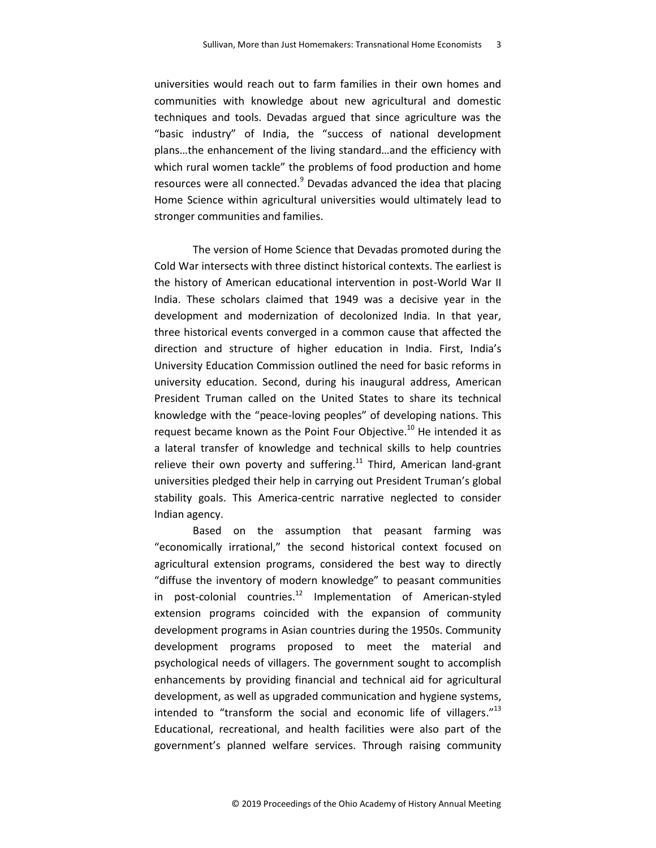universities would reach out to farm families in their own homes and communities with knowledge about new agricultural and domestic techniques and tools. Devadas argued that since agriculture was the "basic industry" of India, the "success of national development plans…the enhancement of the living standard…and the efficiency with which rural women tackle" the problems of food production and home resources were all connected.<sup>9</sup> Devadas advanced the idea that placing Home Science within agricultural universities would ultimately lead to stronger communities and families.

The version of Home Science that Devadas promoted during the Cold War intersects with three distinct historical contexts. The earliest is the history of American educational intervention in post-World War II India. These scholars claimed that 1949 was a decisive year in the development and modernization of decolonized India. In that year, three historical events converged in a common cause that affected the direction and structure of higher education in India. First, India's University Education Commission outlined the need for basic reforms in university education. Second, during his inaugural address, American President Truman called on the United States to share its technical knowledge with the "peace-loving peoples" of developing nations. This request became known as the Point Four Objective. $^{10}$  He intended it as a lateral transfer of knowledge and technical skills to help countries relieve their own poverty and suffering.<sup>11</sup> Third, American land-grant universities pledged their help in carrying out President Truman's global stability goals. This America-centric narrative neglected to consider Indian agency.

Based on the assumption that peasant farming was "economically irrational," the second historical context focused on agricultural extension programs, considered the best way to directly "diffuse the inventory of modern knowledge" to peasant communities in post-colonial countries.<sup>12</sup> Implementation of American-styled extension programs coincided with the expansion of community development programs in Asian countries during the 1950s. Community development programs proposed to meet the material and psychological needs of villagers. The government sought to accomplish enhancements by providing financial and technical aid for agricultural development, as well as upgraded communication and hygiene systems, intended to "transform the social and economic life of villagers."<sup>13</sup> Educational, recreational, and health facilities were also part of the government's planned welfare services. Through raising community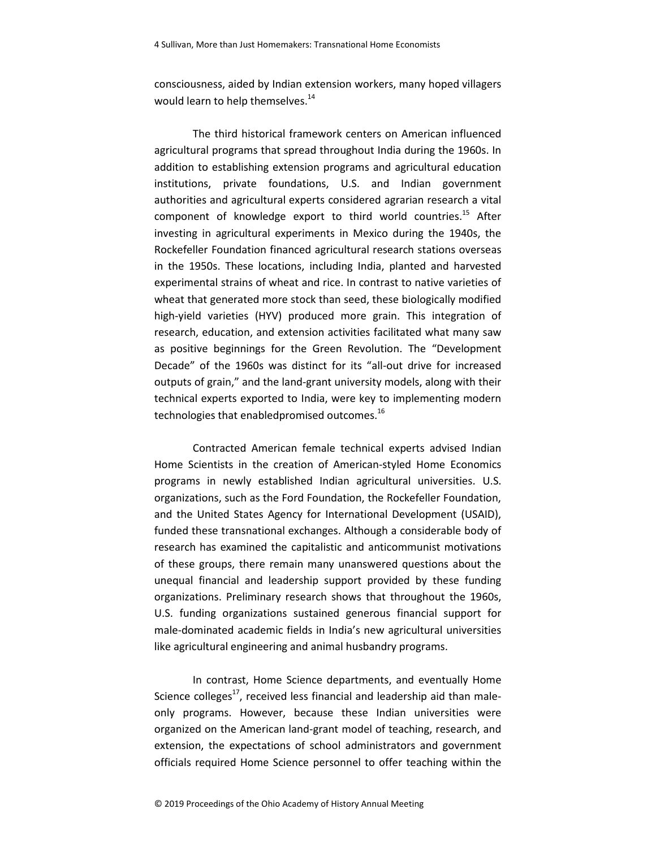consciousness, aided by Indian extension workers, many hoped villagers would learn to help themselves.<sup>14</sup>

The third historical framework centers on American influenced agricultural programs that spread throughout India during the 1960s. In addition to establishing extension programs and agricultural education institutions, private foundations, U.S. and Indian government authorities and agricultural experts considered agrarian research a vital component of knowledge export to third world countries.<sup>15</sup> After investing in agricultural experiments in Mexico during the 1940s, the Rockefeller Foundation financed agricultural research stations overseas in the 1950s. These locations, including India, planted and harvested experimental strains of wheat and rice. In contrast to native varieties of wheat that generated more stock than seed, these biologically modified high-yield varieties (HYV) produced more grain. This integration of research, education, and extension activities facilitated what many saw as positive beginnings for the Green Revolution. The "Development Decade" of the 1960s was distinct for its "all-out drive for increased outputs of grain," and the land-grant university models, along with their technical experts exported to India, were key to implementing modern technologies that enabledpromised outcomes.<sup>16</sup>

Contracted American female technical experts advised Indian Home Scientists in the creation of American-styled Home Economics programs in newly established Indian agricultural universities. U.S. organizations, such as the Ford Foundation, the Rockefeller Foundation, and the United States Agency for International Development (USAID), funded these transnational exchanges. Although a considerable body of research has examined the capitalistic and anticommunist motivations of these groups, there remain many unanswered questions about the unequal financial and leadership support provided by these funding organizations. Preliminary research shows that throughout the 1960s, U.S. funding organizations sustained generous financial support for male-dominated academic fields in India's new agricultural universities like agricultural engineering and animal husbandry programs.

In contrast, Home Science departments, and eventually Home Science colleges<sup>17</sup>, received less financial and leadership aid than maleonly programs. However, because these Indian universities were organized on the American land-grant model of teaching, research, and extension, the expectations of school administrators and government officials required Home Science personnel to offer teaching within the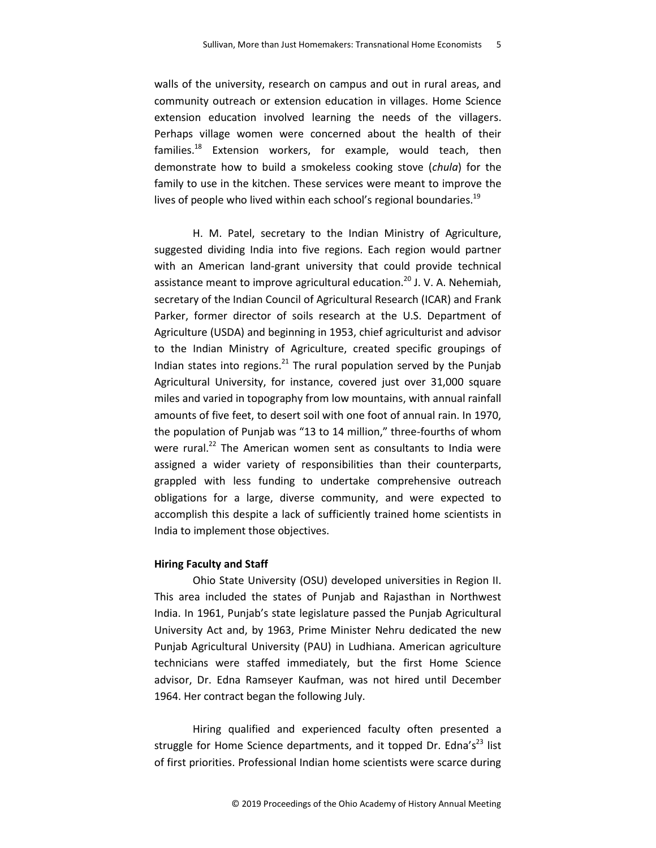walls of the university, research on campus and out in rural areas, and community outreach or extension education in villages. Home Science extension education involved learning the needs of the villagers. Perhaps village women were concerned about the health of their families. $^{18}$  Extension workers, for example, would teach, then demonstrate how to build a smokeless cooking stove (*chula*) for the family to use in the kitchen. These services were meant to improve the lives of people who lived within each school's regional boundaries.<sup>19</sup>

H. M. Patel, secretary to the Indian Ministry of Agriculture, suggested dividing India into five regions. Each region would partner with an American land-grant university that could provide technical assistance meant to improve agricultural education.<sup>20</sup> J. V. A. Nehemiah, secretary of the Indian Council of Agricultural Research (ICAR) and Frank Parker, former director of soils research at the U.S. Department of Agriculture (USDA) and beginning in 1953, chief agriculturist and advisor to the Indian Ministry of Agriculture, created specific groupings of Indian states into regions. $^{21}$  The rural population served by the Punjab Agricultural University, for instance, covered just over 31,000 square miles and varied in topography from low mountains, with annual rainfall amounts of five feet, to desert soil with one foot of annual rain. In 1970, the population of Punjab was "13 to 14 million," three-fourths of whom were rural. $^{22}$  The American women sent as consultants to India were assigned a wider variety of responsibilities than their counterparts, grappled with less funding to undertake comprehensive outreach obligations for a large, diverse community, and were expected to accomplish this despite a lack of sufficiently trained home scientists in India to implement those objectives.

#### **Hiring Faculty and Staff**

Ohio State University (OSU) developed universities in Region II. This area included the states of Punjab and Rajasthan in Northwest India. In 1961, Punjab's state legislature passed the Punjab Agricultural University Act and, by 1963, Prime Minister Nehru dedicated the new Punjab Agricultural University (PAU) in Ludhiana. American agriculture technicians were staffed immediately, but the first Home Science advisor, Dr. Edna Ramseyer Kaufman, was not hired until December 1964. Her contract began the following July.

Hiring qualified and experienced faculty often presented a struggle for Home Science departments, and it topped Dr. Edna's<sup>23</sup> list of first priorities. Professional Indian home scientists were scarce during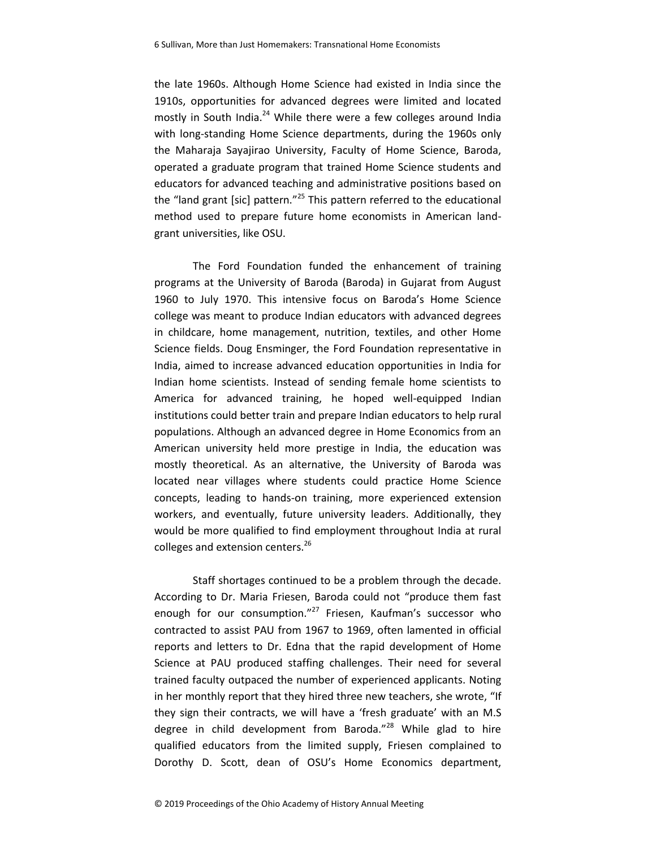the late 1960s. Although Home Science had existed in India since the 1910s, opportunities for advanced degrees were limited and located mostly in South India.<sup>24</sup> While there were a few colleges around India with long-standing Home Science departments, during the 1960s only the Maharaja Sayajirao University, Faculty of Home Science, Baroda, operated a graduate program that trained Home Science students and educators for advanced teaching and administrative positions based on the "land grant [sic] pattern."<sup>25</sup> This pattern referred to the educational method used to prepare future home economists in American landgrant universities, like OSU.

The Ford Foundation funded the enhancement of training programs at the University of Baroda (Baroda) in Gujarat from August 1960 to July 1970. This intensive focus on Baroda's Home Science college was meant to produce Indian educators with advanced degrees in childcare, home management, nutrition, textiles, and other Home Science fields. Doug Ensminger, the Ford Foundation representative in India, aimed to increase advanced education opportunities in India for Indian home scientists. Instead of sending female home scientists to America for advanced training, he hoped well-equipped Indian institutions could better train and prepare Indian educators to help rural populations. Although an advanced degree in Home Economics from an American university held more prestige in India, the education was mostly theoretical. As an alternative, the University of Baroda was located near villages where students could practice Home Science concepts, leading to hands-on training, more experienced extension workers, and eventually, future university leaders. Additionally, they would be more qualified to find employment throughout India at rural colleges and extension centers.<sup>26</sup>

Staff shortages continued to be a problem through the decade. According to Dr. Maria Friesen, Baroda could not "produce them fast enough for our consumption."<sup>27</sup> Friesen, Kaufman's successor who contracted to assist PAU from 1967 to 1969, often lamented in official reports and letters to Dr. Edna that the rapid development of Home Science at PAU produced staffing challenges. Their need for several trained faculty outpaced the number of experienced applicants. Noting in her monthly report that they hired three new teachers, she wrote, "If they sign their contracts, we will have a 'fresh graduate' with an M.S degree in child development from Baroda."<sup>28</sup> While glad to hire qualified educators from the limited supply, Friesen complained to Dorothy D. Scott, dean of OSU's Home Economics department,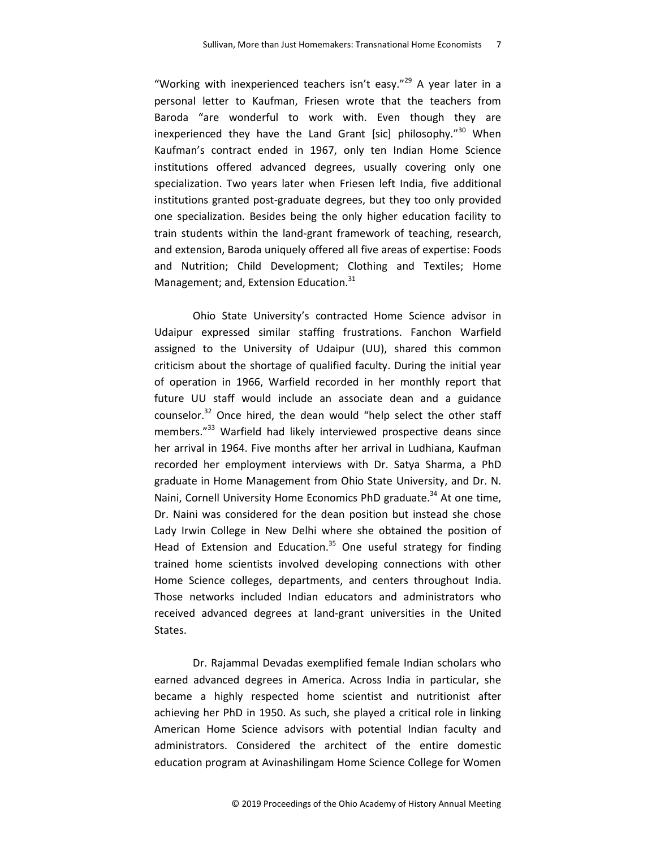"Working with inexperienced teachers isn't easy."<sup>29</sup> A year later in a personal letter to Kaufman, Friesen wrote that the teachers from Baroda "are wonderful to work with. Even though they are inexperienced they have the Land Grant [sic] philosophy."<sup>30</sup> When Kaufman's contract ended in 1967, only ten Indian Home Science institutions offered advanced degrees, usually covering only one specialization. Two years later when Friesen left India, five additional institutions granted post-graduate degrees, but they too only provided one specialization. Besides being the only higher education facility to train students within the land-grant framework of teaching, research, and extension, Baroda uniquely offered all five areas of expertise: Foods and Nutrition; Child Development; Clothing and Textiles; Home Management; and, Extension Education.<sup>31</sup>

Ohio State University's contracted Home Science advisor in Udaipur expressed similar staffing frustrations. Fanchon Warfield assigned to the University of Udaipur (UU), shared this common criticism about the shortage of qualified faculty. During the initial year of operation in 1966, Warfield recorded in her monthly report that future UU staff would include an associate dean and a guidance counselor. $32$  Once hired, the dean would "help select the other staff members."<sup>33</sup> Warfield had likely interviewed prospective deans since her arrival in 1964. Five months after her arrival in Ludhiana, Kaufman recorded her employment interviews with Dr. Satya Sharma, a PhD graduate in Home Management from Ohio State University, and Dr. N. Naini, Cornell University Home Economics PhD graduate.<sup>34</sup> At one time, Dr. Naini was considered for the dean position but instead she chose Lady Irwin College in New Delhi where she obtained the position of Head of Extension and Education.<sup>35</sup> One useful strategy for finding trained home scientists involved developing connections with other Home Science colleges, departments, and centers throughout India. Those networks included Indian educators and administrators who received advanced degrees at land-grant universities in the United States.

Dr. Rajammal Devadas exemplified female Indian scholars who earned advanced degrees in America. Across India in particular, she became a highly respected home scientist and nutritionist after achieving her PhD in 1950. As such, she played a critical role in linking American Home Science advisors with potential Indian faculty and administrators. Considered the architect of the entire domestic education program at Avinashilingam Home Science College for Women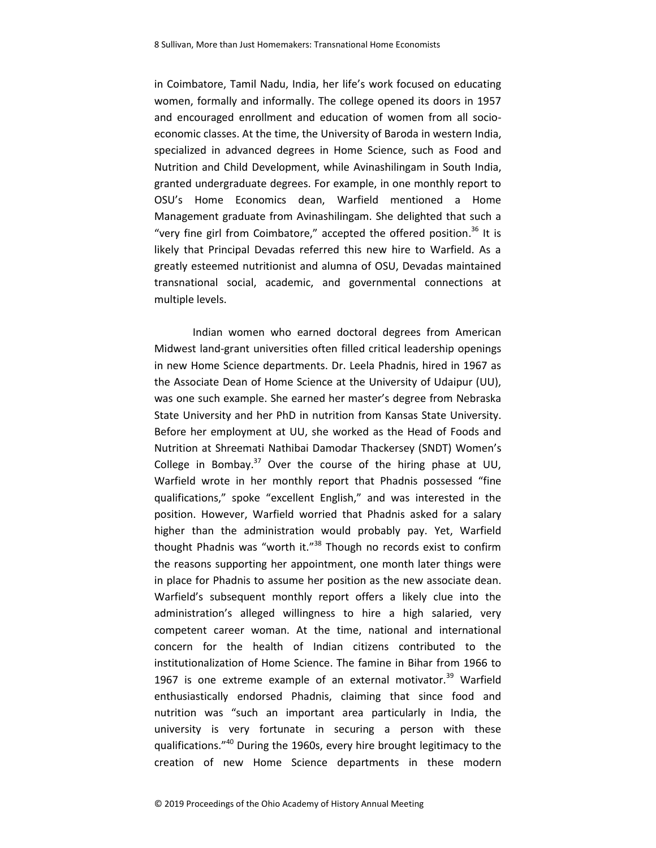in Coimbatore, Tamil Nadu, India, her life's work focused on educating women, formally and informally. The college opened its doors in 1957 and encouraged enrollment and education of women from all socioeconomic classes. At the time, the University of Baroda in western India, specialized in advanced degrees in Home Science, such as Food and Nutrition and Child Development, while Avinashilingam in South India, granted undergraduate degrees. For example, in one monthly report to OSU's Home Economics dean, Warfield mentioned a Home Management graduate from Avinashilingam. She delighted that such a "very fine girl from Coimbatore," accepted the offered position.<sup>36</sup> It is likely that Principal Devadas referred this new hire to Warfield. As a greatly esteemed nutritionist and alumna of OSU, Devadas maintained transnational social, academic, and governmental connections at multiple levels.

Indian women who earned doctoral degrees from American Midwest land-grant universities often filled critical leadership openings in new Home Science departments. Dr. Leela Phadnis, hired in 1967 as the Associate Dean of Home Science at the University of Udaipur (UU), was one such example. She earned her master's degree from Nebraska State University and her PhD in nutrition from Kansas State University. Before her employment at UU, she worked as the Head of Foods and Nutrition at Shreemati Nathibai Damodar Thackersey (SNDT) Women's College in Bombay.<sup>37</sup> Over the course of the hiring phase at UU, Warfield wrote in her monthly report that Phadnis possessed "fine qualifications," spoke "excellent English," and was interested in the position. However, Warfield worried that Phadnis asked for a salary higher than the administration would probably pay. Yet, Warfield thought Phadnis was "worth it." $38$  Though no records exist to confirm the reasons supporting her appointment, one month later things were in place for Phadnis to assume her position as the new associate dean. Warfield's subsequent monthly report offers a likely clue into the administration's alleged willingness to hire a high salaried, very competent career woman. At the time, national and international concern for the health of Indian citizens contributed to the institutionalization of Home Science. The famine in Bihar from 1966 to 1967 is one extreme example of an external motivator. $39$  Warfield enthusiastically endorsed Phadnis, claiming that since food and nutrition was "such an important area particularly in India, the university is very fortunate in securing a person with these qualifications."<sup>40</sup> During the 1960s, every hire brought legitimacy to the creation of new Home Science departments in these modern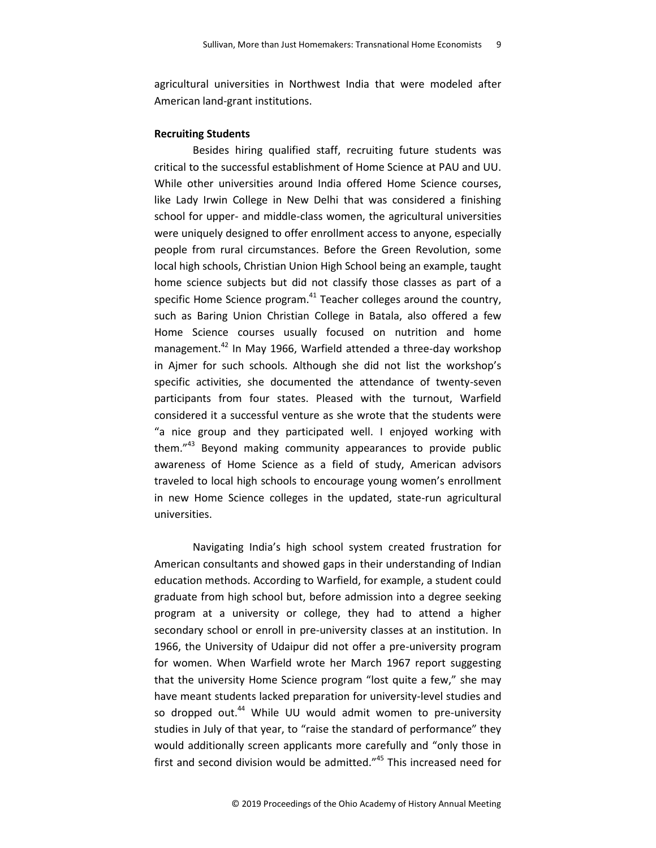agricultural universities in Northwest India that were modeled after American land-grant institutions.

# **Recruiting Students**

Besides hiring qualified staff, recruiting future students was critical to the successful establishment of Home Science at PAU and UU. While other universities around India offered Home Science courses, like Lady Irwin College in New Delhi that was considered a finishing school for upper- and middle-class women, the agricultural universities were uniquely designed to offer enrollment access to anyone, especially people from rural circumstances. Before the Green Revolution, some local high schools, Christian Union High School being an example, taught home science subjects but did not classify those classes as part of a specific Home Science program.<sup>41</sup> Teacher colleges around the country, such as Baring Union Christian College in Batala, also offered a few Home Science courses usually focused on nutrition and home management.<sup>42</sup> In May 1966, Warfield attended a three-day workshop in Ajmer for such schools. Although she did not list the workshop's specific activities, she documented the attendance of twenty-seven participants from four states. Pleased with the turnout, Warfield considered it a successful venture as she wrote that the students were "a nice group and they participated well. I enjoyed working with them."<sup>43</sup> Beyond making community appearances to provide public awareness of Home Science as a field of study, American advisors traveled to local high schools to encourage young women's enrollment in new Home Science colleges in the updated, state-run agricultural universities.

Navigating India's high school system created frustration for American consultants and showed gaps in their understanding of Indian education methods. According to Warfield, for example, a student could graduate from high school but, before admission into a degree seeking program at a university or college, they had to attend a higher secondary school or enroll in pre-university classes at an institution. In 1966, the University of Udaipur did not offer a pre-university program for women. When Warfield wrote her March 1967 report suggesting that the university Home Science program "lost quite a few," she may have meant students lacked preparation for university-level studies and so dropped out.<sup>44</sup> While UU would admit women to pre-university studies in July of that year, to "raise the standard of performance" they would additionally screen applicants more carefully and "only those in first and second division would be admitted."<sup>45</sup> This increased need for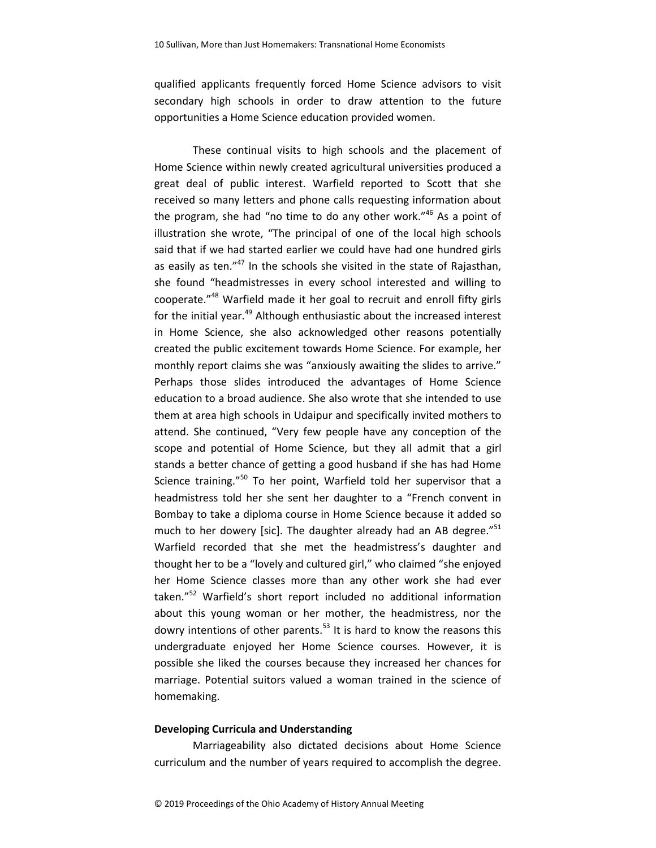qualified applicants frequently forced Home Science advisors to visit secondary high schools in order to draw attention to the future opportunities a Home Science education provided women.

These continual visits to high schools and the placement of Home Science within newly created agricultural universities produced a great deal of public interest. Warfield reported to Scott that she received so many letters and phone calls requesting information about the program, she had "no time to do any other work."<sup>46</sup> As a point of illustration she wrote, "The principal of one of the local high schools said that if we had started earlier we could have had one hundred girls as easily as ten." $47$  In the schools she visited in the state of Rajasthan, she found "headmistresses in every school interested and willing to cooperate."<sup>48</sup> Warfield made it her goal to recruit and enroll fifty girls for the initial year.<sup>49</sup> Although enthusiastic about the increased interest in Home Science, she also acknowledged other reasons potentially created the public excitement towards Home Science. For example, her monthly report claims she was "anxiously awaiting the slides to arrive." Perhaps those slides introduced the advantages of Home Science education to a broad audience. She also wrote that she intended to use them at area high schools in Udaipur and specifically invited mothers to attend. She continued, "Very few people have any conception of the scope and potential of Home Science, but they all admit that a girl stands a better chance of getting a good husband if she has had Home Science training."<sup>50</sup> To her point, Warfield told her supervisor that a headmistress told her she sent her daughter to a "French convent in Bombay to take a diploma course in Home Science because it added so much to her dowery [sic]. The daughter already had an AB degree."<sup>51</sup> Warfield recorded that she met the headmistress's daughter and thought her to be a "lovely and cultured girl," who claimed "she enjoyed her Home Science classes more than any other work she had ever taken."<sup>52</sup> Warfield's short report included no additional information about this young woman or her mother, the headmistress, nor the dowry intentions of other parents. $53$  It is hard to know the reasons this undergraduate enjoyed her Home Science courses. However, it is possible she liked the courses because they increased her chances for marriage. Potential suitors valued a woman trained in the science of homemaking.

# **Developing Curricula and Understanding**

Marriageability also dictated decisions about Home Science curriculum and the number of years required to accomplish the degree.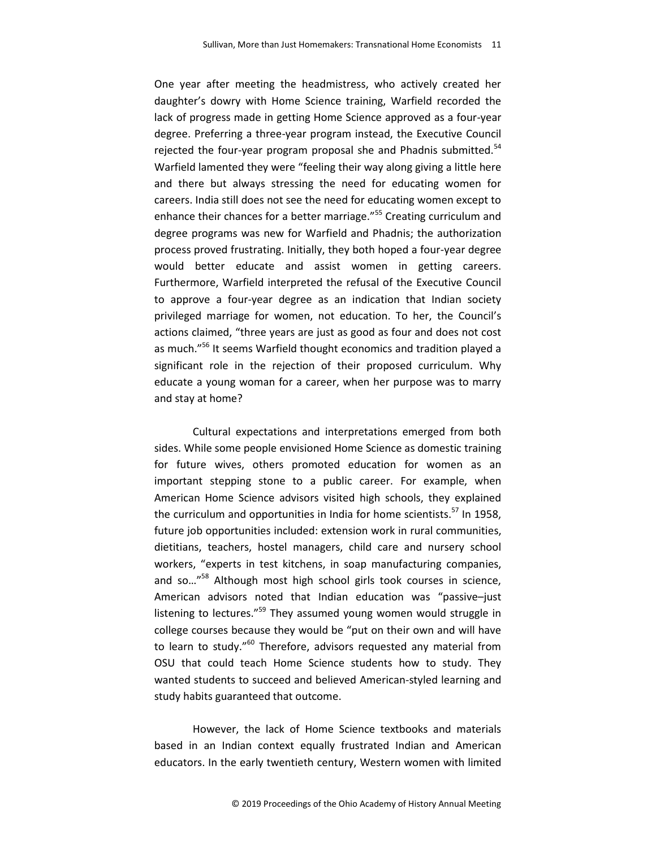One year after meeting the headmistress, who actively created her daughter's dowry with Home Science training, Warfield recorded the lack of progress made in getting Home Science approved as a four-year degree. Preferring a three-year program instead, the Executive Council rejected the four-year program proposal she and Phadnis submitted. $54$ Warfield lamented they were "feeling their way along giving a little here and there but always stressing the need for educating women for careers. India still does not see the need for educating women except to enhance their chances for a better marriage."<sup>55</sup> Creating curriculum and degree programs was new for Warfield and Phadnis; the authorization process proved frustrating. Initially, they both hoped a four-year degree would better educate and assist women in getting careers. Furthermore, Warfield interpreted the refusal of the Executive Council to approve a four-year degree as an indication that Indian society privileged marriage for women, not education. To her, the Council's actions claimed, "three years are just as good as four and does not cost as much."<sup>56</sup> It seems Warfield thought economics and tradition played a significant role in the rejection of their proposed curriculum. Why educate a young woman for a career, when her purpose was to marry and stay at home?

Cultural expectations and interpretations emerged from both sides. While some people envisioned Home Science as domestic training for future wives, others promoted education for women as an important stepping stone to a public career. For example, when American Home Science advisors visited high schools, they explained the curriculum and opportunities in India for home scientists.<sup>57</sup> In 1958, future job opportunities included: extension work in rural communities, dietitians, teachers, hostel managers, child care and nursery school workers, "experts in test kitchens, in soap manufacturing companies, and so…"<sup>58</sup> Although most high school girls took courses in science, American advisors noted that Indian education was "passive–just listening to lectures."<sup>59</sup> They assumed young women would struggle in college courses because they would be "put on their own and will have to learn to study."<sup>60</sup> Therefore, advisors requested any material from OSU that could teach Home Science students how to study. They wanted students to succeed and believed American-styled learning and study habits guaranteed that outcome.

However, the lack of Home Science textbooks and materials based in an Indian context equally frustrated Indian and American educators. In the early twentieth century, Western women with limited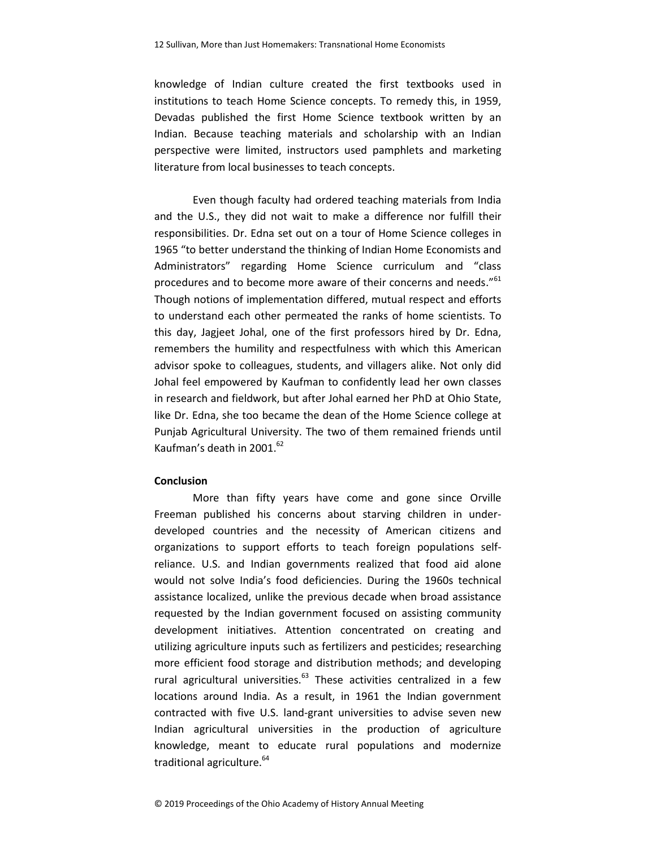knowledge of Indian culture created the first textbooks used in institutions to teach Home Science concepts. To remedy this, in 1959, Devadas published the first Home Science textbook written by an Indian. Because teaching materials and scholarship with an Indian perspective were limited, instructors used pamphlets and marketing literature from local businesses to teach concepts.

Even though faculty had ordered teaching materials from India and the U.S., they did not wait to make a difference nor fulfill their responsibilities. Dr. Edna set out on a tour of Home Science colleges in 1965 "to better understand the thinking of Indian Home Economists and Administrators" regarding Home Science curriculum and "class procedures and to become more aware of their concerns and needs."<sup>61</sup> Though notions of implementation differed, mutual respect and efforts to understand each other permeated the ranks of home scientists. To this day, Jagjeet Johal, one of the first professors hired by Dr. Edna, remembers the humility and respectfulness with which this American advisor spoke to colleagues, students, and villagers alike. Not only did Johal feel empowered by Kaufman to confidently lead her own classes in research and fieldwork, but after Johal earned her PhD at Ohio State, like Dr. Edna, she too became the dean of the Home Science college at Punjab Agricultural University. The two of them remained friends until Kaufman's death in 2001. $^{62}$ 

# **Conclusion**

More than fifty years have come and gone since Orville Freeman published his concerns about starving children in underdeveloped countries and the necessity of American citizens and organizations to support efforts to teach foreign populations selfreliance. U.S. and Indian governments realized that food aid alone would not solve India's food deficiencies. During the 1960s technical assistance localized, unlike the previous decade when broad assistance requested by the Indian government focused on assisting community development initiatives. Attention concentrated on creating and utilizing agriculture inputs such as fertilizers and pesticides; researching more efficient food storage and distribution methods; and developing rural agricultural universities. $63$  These activities centralized in a few locations around India. As a result, in 1961 the Indian government contracted with five U.S. land-grant universities to advise seven new Indian agricultural universities in the production of agriculture knowledge, meant to educate rural populations and modernize traditional agriculture.<sup>64</sup>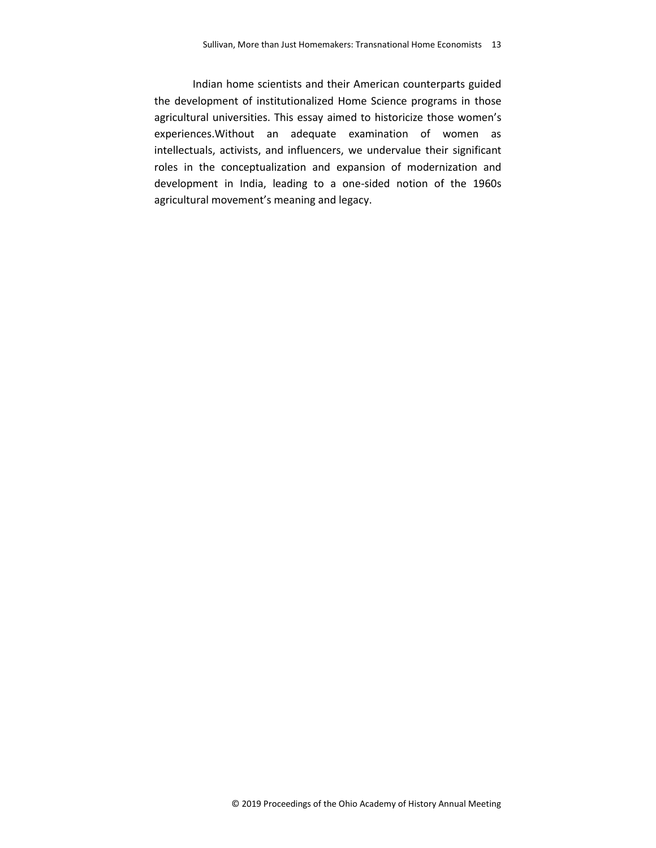Indian home scientists and their American counterparts guided the development of institutionalized Home Science programs in those agricultural universities. This essay aimed to historicize those women's experiences.Without an adequate examination of women as intellectuals, activists, and influencers, we undervalue their significant roles in the conceptualization and expansion of modernization and development in India, leading to a one-sided notion of the 1960s agricultural movement's meaning and legacy.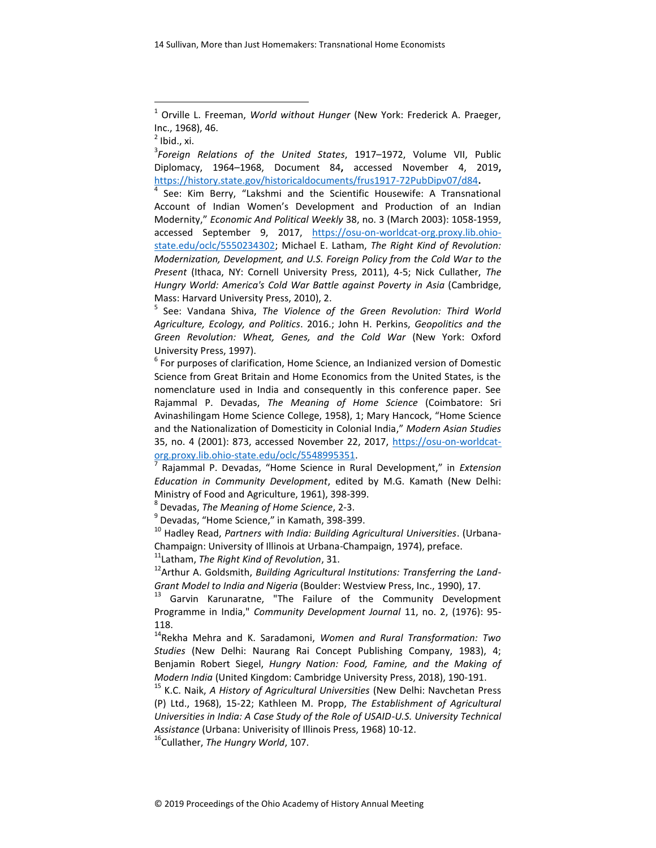14 Sullivan, More than Just Homemakers: Transnational Home Economists

 $\overline{a}$ 

3 *Foreign Relations of the United States*, 1917–1972, Volume VII, Public Diplomacy, 1964–1968, Document 84**,** accessed November 4, 2019**,**  <https://history.state.gov/historicaldocuments/frus1917-72PubDipv07/d84>**.**

<sup>4</sup> See: Kim Berry, "Lakshmi and the Scientific Housewife: A Transnational Account of Indian Women's Development and Production of an Indian Modernity," *Economic And Political Weekly* 38, no. 3 (March 2003): 1058-1959, accessed September 9, 2017, [https://osu-on-worldcat-org.proxy.lib.ohio](https://osu-on-worldcat-org.proxy.lib.ohio-state.edu/oclc/5550234302)[state.edu/oclc/5550234302;](https://osu-on-worldcat-org.proxy.lib.ohio-state.edu/oclc/5550234302) Michael E. Latham, *The Right Kind of Revolution: Modernization, Development, and U.S. Foreign Policy from the Cold War to the Present* (Ithaca, NY: Cornell University Press, 2011), 4-5; Nick Cullather, *The Hungry World: America's Cold War Battle against Poverty in Asia* (Cambridge, Mass: Harvard University Press, 2010), 2.

5 See: Vandana Shiva, *The Violence of the Green Revolution: Third World Agriculture, Ecology, and Politics*. 2016.; John H. Perkins, *Geopolitics and the Green Revolution: Wheat, Genes, and the Cold War* (New York: Oxford University Press, 1997).

 $<sup>6</sup>$  For purposes of clarification, Home Science, an Indianized version of Domestic</sup> Science from Great Britain and Home Economics from the United States, is the nomenclature used in India and consequently in this conference paper. See Rajammal P. Devadas, *The Meaning of Home Science* (Coimbatore: Sri Avinashilingam Home Science College, 1958), 1; Mary Hancock, "Home Science and the Nationalization of Domesticity in Colonial India," *Modern Asian Studies*  35, no. 4 (2001): 873, accessed November 22, 2017, [https://osu-on-worldcat](https://osu-on-worldcat-org.proxy.lib.ohio-state.edu/oclc/5548995351)[org.proxy.lib.ohio-state.edu/oclc/5548995351.](https://osu-on-worldcat-org.proxy.lib.ohio-state.edu/oclc/5548995351)

7 Rajammal P. Devadas, "Home Science in Rural Development," in *Extension Education in Community Development*, edited by M.G. Kamath (New Delhi: Ministry of Food and Agriculture, 1961), 398-399.

8 Devadas, *The Meaning of Home Science*, 2-3.

<sup>9</sup> Devadas, "Home Science," in Kamath, 398-399.

<sup>10</sup> Hadley Read, *Partners with India: Building Agricultural Universities*. (Urbana-Champaign: University of Illinois at Urbana-Champaign, 1974), preface.

<sup>11</sup>Latham, *The Right Kind of Revolution*, 31.

<sup>12</sup> Arthur A. Goldsmith, *Building Agricultural Institutions: Transferring the Land-Grant Model to India and Nigeria* (Boulder: Westview Press, Inc., 1990), 17.

<sup>13</sup> Garvin Karunaratne, "The Failure of the Community Development Programme in India," *Community Development Journal* 11, no. 2, (1976): 95- 118.

<sup>14</sup>Rekha Mehra and K. Saradamoni, *Women and Rural Transformation: Two Studies* (New Delhi: Naurang Rai Concept Publishing Company, 1983), 4; Benjamin Robert Siegel, *Hungry Nation: Food, Famine, and the Making of Modern India* (United Kingdom: Cambridge University Press, 2018), 190-191.

<sup>15</sup> K.C. Naik, *A History of Agricultural Universities* (New Delhi: Navchetan Press (P) Ltd., 1968), 15-22; Kathleen M. Propp, *The Establishment of Agricultural Universities in India: A Case Study of the Role of USAID-U.S. University Technical Assistance* (Urbana: Univerisity of Illinois Press, 1968) 10-12.

<sup>16</sup>Cullather, *The Hungry World*, 107.

<sup>1</sup> Orville L. Freeman, *World without Hunger* (New York: Frederick A. Praeger, Inc., 1968), 46.

 $<sup>2</sup>$  Ibid., xi.</sup>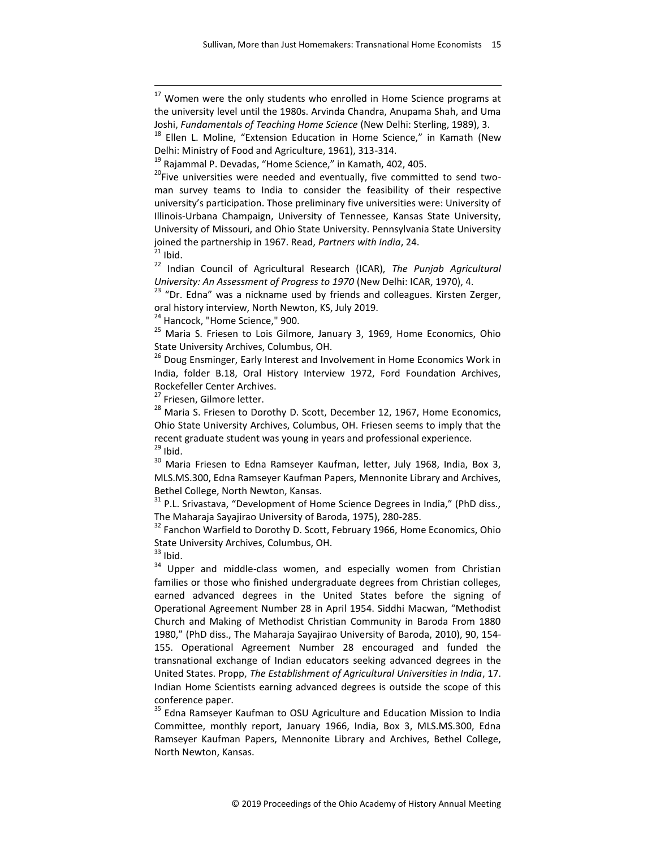<sup>22</sup> Indian Council of Agricultural Research (ICAR), *The Punjab Agricultural University: An Assessment of Progress to 1970* (New Delhi: ICAR, 1970), 4.

<sup>23</sup> "Dr. Edna" was a nickname used by friends and colleagues. Kirsten Zerger, oral history interview, North Newton, KS, July 2019.

<sup>24</sup> Hancock, "Home Science," 900.

<sup>25</sup> Maria S. Friesen to Lois Gilmore, January 3, 1969, Home Economics, Ohio State University Archives, Columbus, OH.

<sup>26</sup> Doug Ensminger, Early Interest and Involvement in Home Economics Work in India, folder B.18, Oral History Interview 1972, Ford Foundation Archives, Rockefeller Center Archives.

<sup>27</sup> Friesen, Gilmore letter.

<sup>28</sup> Maria S. Friesen to Dorothy D. Scott, December 12, 1967, Home Economics, Ohio State University Archives, Columbus, OH. Friesen seems to imply that the recent graduate student was young in years and professional experience.  $29$  Ibid.

30 Maria Friesen to Edna Ramseyer Kaufman, letter, July 1968, India, Box 3, MLS.MS.300, Edna Ramseyer Kaufman Papers, Mennonite Library and Archives, Bethel College, North Newton, Kansas.

<sup>31</sup> P.L. Srivastava, "Development of Home Science Degrees in India," (PhD diss., The Maharaja Sayajirao University of Baroda, 1975), 280-285.

 $32$  Fanchon Warfield to Dorothy D. Scott, February 1966, Home Economics, Ohio State University Archives, Columbus, OH.

 $33$  Ibid.

 $\overline{a}$ 

<sup>34</sup> Upper and middle-class women, and especially women from Christian families or those who finished undergraduate degrees from Christian colleges, earned advanced degrees in the United States before the signing of Operational Agreement Number 28 in April 1954. Siddhi Macwan, "Methodist Church and Making of Methodist Christian Community in Baroda From 1880 1980," (PhD diss., The Maharaja Sayajirao University of Baroda, 2010), 90, 154- 155. Operational Agreement Number 28 encouraged and funded the transnational exchange of Indian educators seeking advanced degrees in the United States. Propp, *The Establishment of Agricultural Universities in India*, 17. Indian Home Scientists earning advanced degrees is outside the scope of this conference paper.

<sup>35</sup> Edna Ramseyer Kaufman to OSU Agriculture and Education Mission to India Committee, monthly report, January 1966, India, Box 3, MLS.MS.300, Edna Ramseyer Kaufman Papers, Mennonite Library and Archives, Bethel College, North Newton, Kansas.

 $17$  Women were the only students who enrolled in Home Science programs at the university level until the 1980s. Arvinda Chandra, Anupama Shah, and Uma Joshi, *Fundamentals of Teaching Home Science* (New Delhi: Sterling, 1989), 3.

 $18$  Ellen L. Moline, "Extension Education in Home Science," in Kamath (New Delhi: Ministry of Food and Agriculture, 1961), 313-314.

 $19$  Rajammal P. Devadas, "Home Science," in Kamath, 402, 405.

<sup>&</sup>lt;sup>20</sup>Five universities were needed and eventually, five committed to send twoman survey teams to India to consider the feasibility of their respective university's participation. Those preliminary five universities were: University of Illinois-Urbana Champaign, University of Tennessee, Kansas State University, University of Missouri, and Ohio State University. Pennsylvania State University joined the partnership in 1967. Read, *Partners with India*, 24.  $21$  Ibid.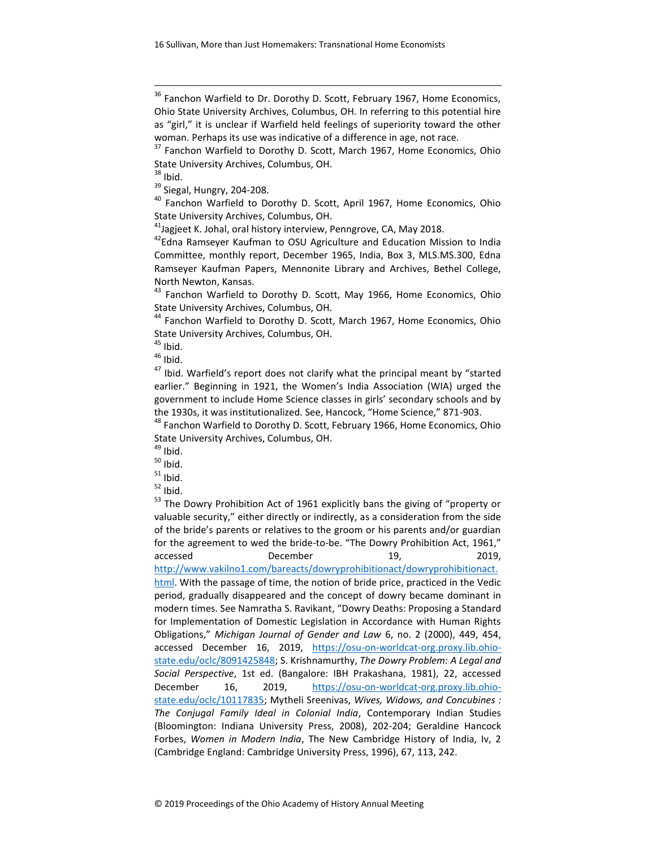$\overline{a}$ 

<sup>40</sup> Fanchon Warfield to Dorothy D. Scott, April 1967, Home Economics, Ohio State University Archives, Columbus, OH.

 $41$ Jagjeet K. Johal, oral history interview, Penngrove, CA, May 2018.

<sup>42</sup>Edna Ramseyer Kaufman to OSU Agriculture and Education Mission to India Committee, monthly report, December 1965, India, Box 3, MLS.MS.300, Edna Ramseyer Kaufman Papers, Mennonite Library and Archives, Bethel College, North Newton, Kansas.

<sup>43</sup> Fanchon Warfield to Dorothy D. Scott, May 1966, Home Economics, Ohio State University Archives, Columbus, OH.

<sup>44</sup> Fanchon Warfield to Dorothy D. Scott, March 1967, Home Economics, Ohio State University Archives, Columbus, OH.

 $45$  Ibid.

 $46$  Ibid.

 $47$  Ibid. Warfield's report does not clarify what the principal meant by "started earlier." Beginning in 1921, the Women's India Association (WIA) urged the government to include Home Science classes in girls' secondary schools and by the 1930s, it was institutionalized. See, Hancock, "Home Science," 871-903.

<sup>48</sup> Fanchon Warfield to Dorothy D. Scott, February 1966, Home Economics, Ohio State University Archives, Columbus, OH.

 $49$  Ibid.

 $50$  Ibid.

 $51$  Ibid.

 $52$  Ibid.

<sup>53</sup> The Dowry Prohibition Act of 1961 explicitly bans the giving of "property or valuable security," either directly or indirectly, as a consideration from the side of the bride's parents or relatives to the groom or his parents and/or guardian for the agreement to wed the bride-to-be. "The Dowry Prohibition Act, 1961," accessed December 19, 2019, [http://www.vakilno1.com/bareacts/dowryprohibitionact/dowryprohibitionact.](http://www.vakilno1.com/bareacts/dowryprohibitionact/dowryprohibitionact.html) [html.](http://www.vakilno1.com/bareacts/dowryprohibitionact/dowryprohibitionact.html) With the passage of time, the notion of bride price, practiced in the Vedic period, gradually disappeared and the concept of dowry became dominant in modern times. See Namratha S. Ravikant, "Dowry Deaths: Proposing a Standard for Implementation of Domestic Legislation in Accordance with Human Rights Obligations," *Michigan Journal of Gender and Law* 6, no. 2 (2000), 449, 454, accessed December 16, 2019, [https://osu-on-worldcat-org.proxy.lib.ohio](https://osu-on-worldcat-org.proxy.lib.ohio-state.edu/oclc/8091425848)[state.edu/oclc/8091425848;](https://osu-on-worldcat-org.proxy.lib.ohio-state.edu/oclc/8091425848) S. Krishnamurthy, *The Dowry Problem: A Legal and Social Perspective*, 1st ed. (Bangalore: IBH Prakashana, 1981), 22, accessed December 16, 2019, [https://osu-on-worldcat-org.proxy.lib.ohio](https://osu-on-worldcat-org.proxy.lib.ohio-state.edu/oclc/10117835)[state.edu/oclc/10117835;](https://osu-on-worldcat-org.proxy.lib.ohio-state.edu/oclc/10117835) Mytheli Sreenivas, *Wives, Widows, and Concubines : The Conjugal Family Ideal in Colonial India*, Contemporary Indian Studies (Bloomington: Indiana University Press, 2008), 202-204; Geraldine Hancock Forbes, *Women in Modern India*, The New Cambridge History of India, Iv, 2 (Cambridge England: Cambridge University Press, 1996), 67, 113, 242.

<sup>&</sup>lt;sup>36</sup> Fanchon Warfield to Dr. Dorothy D. Scott, February 1967, Home Economics, Ohio State University Archives, Columbus, OH. In referring to this potential hire as "girl," it is unclear if Warfield held feelings of superiority toward the other woman. Perhaps its use was indicative of a difference in age, not race.

<sup>&</sup>lt;sup>37</sup> Fanchon Warfield to Dorothy D. Scott, March 1967, Home Economics, Ohio State University Archives, Columbus, OH.

 $38$  Ibid.

<sup>&</sup>lt;sup>39</sup> Siegal, Hungry, 204-208.